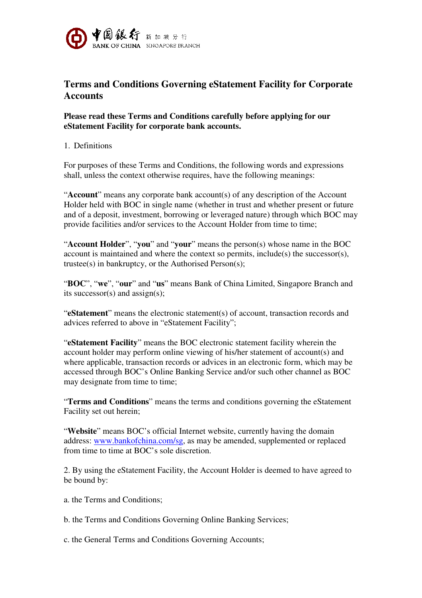

## **Terms and Conditions Governing eStatement Facility for Corporate Accounts**

## **Please read these Terms and Conditions carefully before applying for our eStatement Facility for corporate bank accounts.**

## 1. Definitions

For purposes of these Terms and Conditions, the following words and expressions shall, unless the context otherwise requires, have the following meanings:

"**Account**" means any corporate bank account(s) of any description of the Account Holder held with BOC in single name (whether in trust and whether present or future and of a deposit, investment, borrowing or leveraged nature) through which BOC may provide facilities and/or services to the Account Holder from time to time;

"**Account Holder**", "**you**" and "**your**" means the person(s) whose name in the BOC account is maintained and where the context so permits, include(s) the successor(s), trustee(s) in bankruptcy, or the Authorised Person(s);

"**BOC**", "**we**", "**our**" and "**us**" means Bank of China Limited, Singapore Branch and its successor(s) and assign(s);

"**eStatement**" means the electronic statement(s) of account, transaction records and advices referred to above in "eStatement Facility";

"**eStatement Facility**" means the BOC electronic statement facility wherein the account holder may perform online viewing of his/her statement of account(s) and where applicable, transaction records or advices in an electronic form, which may be accessed through BOC's Online Banking Service and/or such other channel as BOC may designate from time to time;

"**Terms and Conditions**" means the terms and conditions governing the eStatement Facility set out herein;

"**Website**" means BOC's official Internet website, currently having the domain address: www.bankofchina.com/sg, as may be amended, supplemented or replaced from time to time at BOC's sole discretion.

2. By using the eStatement Facility, the Account Holder is deemed to have agreed to be bound by:

a. the Terms and Conditions;

b. the Terms and Conditions Governing Online Banking Services;

c. the General Terms and Conditions Governing Accounts;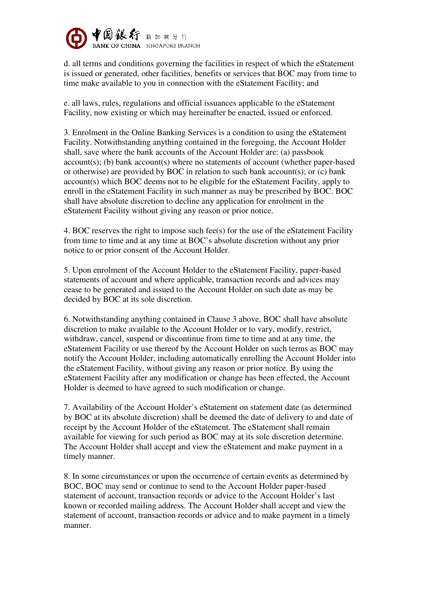

d. all terms and conditions governing the facilities in respect of which the eStatement is issued or generated, other facilities, benefits or services that BOC may from time to time make available to you in connection with the eStatement Facility; and

e. all laws, rules, regulations and official issuances applicable to the eStatement Facility, now existing or which may hereinafter be enacted, issued or enforced.

3. Enrolment in the Online Banking Services is a condition to using the eStatement Facility. Notwithstanding anything contained in the foregoing, the Account Holder shall, save where the bank accounts of the Account Holder are: (a) passbook account(s); (b) bank account(s) where no statements of account (whether paper-based or otherwise) are provided by BOC in relation to such bank account(s); or (c) bank account(s) which BOC deems not to be eligible for the eStatement Facility, apply to enroll in the eStatement Facility in such manner as may be prescribed by BOC. BOC shall have absolute discretion to decline any application for enrolment in the eStatement Facility without giving any reason or prior notice.

4. BOC reserves the right to impose such fee(s) for the use of the eStatement Facility from time to time and at any time at BOC's absolute discretion without any prior notice to or prior consent of the Account Holder.

5. Upon enrolment of the Account Holder to the eStatement Facility, paper-based statements of account and where applicable, transaction records and advices may cease to be generated and issued to the Account Holder on such date as may be decided by BOC at its sole discretion.

6. Notwithstanding anything contained in Clause 3 above, BOC shall have absolute discretion to make available to the Account Holder or to vary, modify, restrict, withdraw, cancel, suspend or discontinue from time to time and at any time, the eStatement Facility or use thereof by the Account Holder on such terms as BOC may notify the Account Holder, including automatically enrolling the Account Holder into the eStatement Facility, without giving any reason or prior notice. By using the eStatement Facility after any modification or change has been effected, the Account Holder is deemed to have agreed to such modification or change.

7. Availability of the Account Holder's eStatement on statement date (as determined by BOC at its absolute discretion) shall be deemed the date of delivery to and date of receipt by the Account Holder of the eStatement. The eStatement shall remain available for viewing for such period as BOC may at its sole discretion determine. The Account Holder shall accept and view the eStatement and make payment in a timely manner.

8. In some circumstances or upon the occurrence of certain events as determined by BOC, BOC may send or continue to send to the Account Holder paper-based statement of account, transaction records or advice to the Account Holder's last known or recorded mailing address. The Account Holder shall accept and view the statement of account, transaction records or advice and to make payment in a timely manner.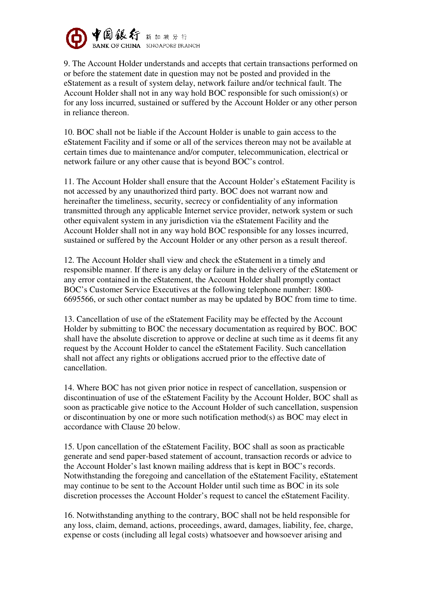

9. The Account Holder understands and accepts that certain transactions performed on or before the statement date in question may not be posted and provided in the eStatement as a result of system delay, network failure and/or technical fault. The Account Holder shall not in any way hold BOC responsible for such omission(s) or for any loss incurred, sustained or suffered by the Account Holder or any other person in reliance thereon.

10. BOC shall not be liable if the Account Holder is unable to gain access to the eStatement Facility and if some or all of the services thereon may not be available at certain times due to maintenance and/or computer, telecommunication, electrical or network failure or any other cause that is beyond BOC's control.

11. The Account Holder shall ensure that the Account Holder's eStatement Facility is not accessed by any unauthorized third party. BOC does not warrant now and hereinafter the timeliness, security, secrecy or confidentiality of any information transmitted through any applicable Internet service provider, network system or such other equivalent system in any jurisdiction via the eStatement Facility and the Account Holder shall not in any way hold BOC responsible for any losses incurred, sustained or suffered by the Account Holder or any other person as a result thereof.

12. The Account Holder shall view and check the eStatement in a timely and responsible manner. If there is any delay or failure in the delivery of the eStatement or any error contained in the eStatement, the Account Holder shall promptly contact BOC's Customer Service Executives at the following telephone number: 1800- 6695566, or such other contact number as may be updated by BOC from time to time.

13. Cancellation of use of the eStatement Facility may be effected by the Account Holder by submitting to BOC the necessary documentation as required by BOC. BOC shall have the absolute discretion to approve or decline at such time as it deems fit any request by the Account Holder to cancel the eStatement Facility. Such cancellation shall not affect any rights or obligations accrued prior to the effective date of cancellation.

14. Where BOC has not given prior notice in respect of cancellation, suspension or discontinuation of use of the eStatement Facility by the Account Holder, BOC shall as soon as practicable give notice to the Account Holder of such cancellation, suspension or discontinuation by one or more such notification method(s) as BOC may elect in accordance with Clause 20 below.

15. Upon cancellation of the eStatement Facility, BOC shall as soon as practicable generate and send paper-based statement of account, transaction records or advice to the Account Holder's last known mailing address that is kept in BOC's records. Notwithstanding the foregoing and cancellation of the eStatement Facility, eStatement may continue to be sent to the Account Holder until such time as BOC in its sole discretion processes the Account Holder's request to cancel the eStatement Facility.

16. Notwithstanding anything to the contrary, BOC shall not be held responsible for any loss, claim, demand, actions, proceedings, award, damages, liability, fee, charge, expense or costs (including all legal costs) whatsoever and howsoever arising and